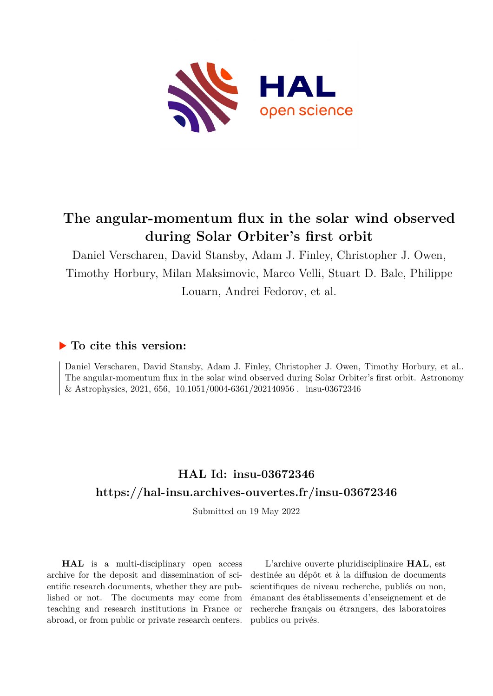

# **The angular-momentum flux in the solar wind observed during Solar Orbiter's first orbit**

Daniel Verscharen, David Stansby, Adam J. Finley, Christopher J. Owen, Timothy Horbury, Milan Maksimovic, Marco Velli, Stuart D. Bale, Philippe Louarn, Andrei Fedorov, et al.

# **To cite this version:**

Daniel Verscharen, David Stansby, Adam J. Finley, Christopher J. Owen, Timothy Horbury, et al.. The angular-momentum flux in the solar wind observed during Solar Orbiter's first orbit. Astronomy & Astrophysics, 2021, 656, 10.1051/0004-6361/202140956. insu-03672346

# **HAL Id: insu-03672346 <https://hal-insu.archives-ouvertes.fr/insu-03672346>**

Submitted on 19 May 2022

**HAL** is a multi-disciplinary open access archive for the deposit and dissemination of scientific research documents, whether they are published or not. The documents may come from teaching and research institutions in France or abroad, or from public or private research centers.

L'archive ouverte pluridisciplinaire **HAL**, est destinée au dépôt et à la diffusion de documents scientifiques de niveau recherche, publiés ou non, émanant des établissements d'enseignement et de recherche français ou étrangers, des laboratoires publics ou privés.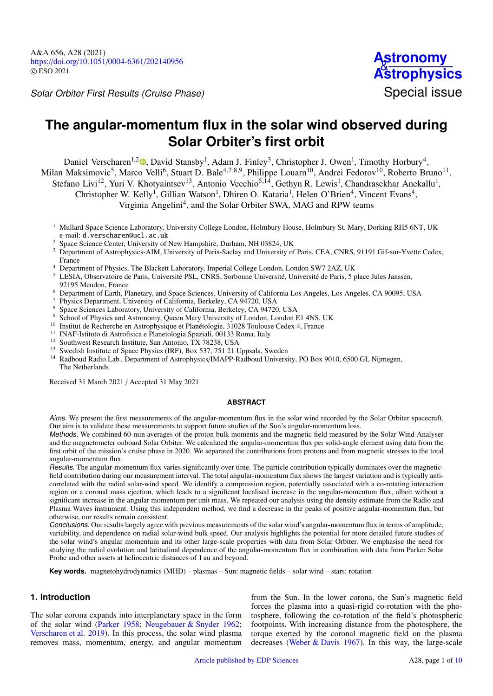Solar Orbiter First Results (Cruise Phase) Solar Orbiter Special issue

# **The angular-momentum flux in the solar wind observed during Solar Orbiter's first orbit**

Daniel Verscharen<sup>1[,](http://orcid.org/0000-0002-0497-1096)2</sup><sup>®</sup>, David Stansby<sup>1</sup>, Adam J. Finley<sup>3</sup>, Christopher J. Owen<sup>1</sup>, Timothy Horbury<sup>4</sup>, Milan Maksimovic<sup>5</sup>, Marco Velli<sup>6</sup>, Stuart D. Bale<sup>4,7,8,9</sup>, Philippe Louarn<sup>10</sup>, Andrei Fedorov<sup>10</sup>, Roberto Bruno<sup>11</sup>, Stefano Livi<sup>12</sup>, Yuri V. Khotyaintsev<sup>13</sup>, Antonio Vecchio<sup>5,14</sup>, Gethyn R. Lewis<sup>1</sup>, Chandrasekhar Anekallu<sup>1</sup>, Christopher W. Kelly<sup>1</sup>, Gillian Watson<sup>1</sup>, Dhiren O. Kataria<sup>1</sup>, Helen O'Brien<sup>4</sup>, Vincent Evans<sup>4</sup>, Virginia Angelini<sup>4</sup>, and the Solar Orbiter SWA, MAG and RPW teams

- <sup>1</sup> Mullard Space Science Laboratory, University College London, Holmbury House, Holmbury St. Mary, Dorking RH5 6NT, UK e-mail: [d.verscharen@ucl.ac.uk](mailto:d.verscharen@ucl.ac.uk)
- <sup>2</sup> Space Science Center, University of New Hampshire, Durham, NH 03824, UK
- <sup>3</sup> Department of Astrophysics-AIM, University of Paris-Saclay and University of Paris, CEA, CNRS, 91191 Gif-sur-Yvette Cedex, France
- <sup>4</sup> Department of Physics, The Blackett Laboratory, Imperial College London, London SW7 2AZ, UK
- <sup>5</sup> LESIA, Observatoire de Paris, Université PSL, CNRS, Sorbonne Université, Université de Paris, 5 place Jules Janssen, 92195 Meudon, France
- <sup>6</sup> Department of Earth, Planetary, and Space Sciences, University of California Los Angeles, Los Angeles, CA 90095, USA
- <sup>7</sup> Physics Department, University of California, Berkeley, CA 94720, USA  $^{8}$  Speed Sciences Lehenter, University of Galifornia, Berkeley, CA 94730
- <sup>8</sup> Space Sciences Laboratory, University of California, Berkeley, CA 94720, USA
- <sup>9</sup> School of Physics and Astronomy, Queen Mary University of London, London E1 4NS, UK
- <sup>10</sup> Institut de Recherche en Astrophysique et Planétologie, 31028 Toulouse Cedex 4, France
- <sup>11</sup> INAF-Istituto di Astrofisica e Planetologia Spaziali, 00133 Roma, Italy
- <sup>12</sup> Southwest Research Institute, San Antonio, TX 78238, USA
- <sup>13</sup> Swedish Institute of Space Physics (IRF), Box 537, 751 21 Uppsala, Sweden
- <sup>14</sup> Radboud Radio Lab., Department of Astrophysics/IMAPP-Radboud University, PO Box 9010, 6500 GL Nijmegen, The Netherlands

Received 31 March 2021 / Accepted 31 May 2021

## **ABSTRACT**

Aims. We present the first measurements of the angular-momentum flux in the solar wind recorded by the Solar Orbiter spacecraft. Our aim is to validate these measurements to support future studies of the Sun's angular-momentum loss.

Methods. We combined 60-min averages of the proton bulk moments and the magnetic field measured by the Solar Wind Analyser and the magnetometer onboard Solar Orbiter. We calculated the angular-momentum flux per solid-angle element using data from the first orbit of the mission's cruise phase in 2020. We separated the contributions from protons and from magnetic stresses to the total angular-momentum flux.

Results. The angular-momentum flux varies significantly over time. The particle contribution typically dominates over the magneticfield contribution during our measurement interval. The total angular-momentum flux shows the largest variation and is typically anticorrelated with the radial solar-wind speed. We identify a compression region, potentially associated with a co-rotating interaction region or a coronal mass ejection, which leads to a significant localised increase in the angular-momentum flux, albeit without a significant increase in the angular momentum per unit mass. We repeated our analysis using the density estimate from the Radio and Plasma Waves instrument. Using this independent method, we find a decrease in the peaks of positive angular-momentum flux, but otherwise, our results remain consistent.

Conclusions. Our results largely agree with previous measurements of the solar wind's angular-momentum flux in terms of amplitude, variability, and dependence on radial solar-wind bulk speed. Our analysis highlights the potential for more detailed future studies of the solar wind's angular momentum and its other large-scale properties with data from Solar Orbiter. We emphasise the need for studying the radial evolution and latitudinal dependence of the angular-momentum flux in combination with data from Parker Solar Probe and other assets at heliocentric distances of 1 au and beyond.

**Key words.** magnetohydrodynamics (MHD) – plasmas – Sun: magnetic fields – solar wind – stars: rotation

## **1. Introduction**

The solar corona expands into interplanetary space in the form of the solar wind (Parker 1958; Neugebauer & Snyder 1962; Verscharen et al. 2019). In this process, the solar wind plasma removes mass, momentum, energy, and angular momentum

from the Sun. In the lower corona, the Sun's magnetic field forces the plasma into a quasi-rigid co-rotation with the photosphere, following the co-rotation of the field's photospheric footpoints. With increasing distance from the photosphere, the torque exerted by the coronal magnetic field on the plasma decreases (Weber & Davis 1967). In this way, the large-scale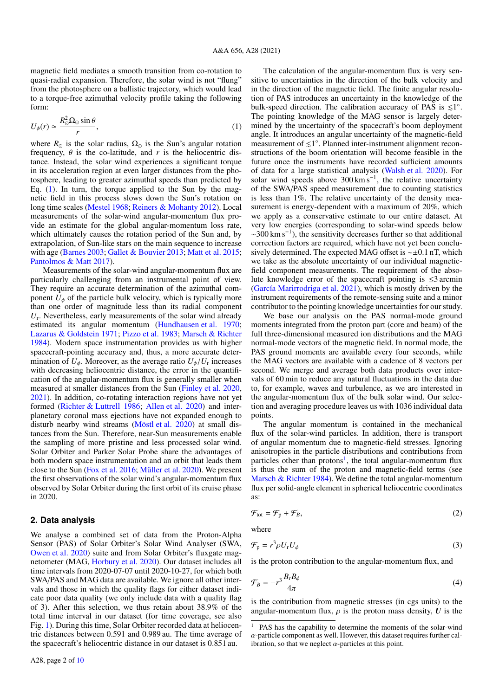magnetic field mediates a smooth transition from co-rotation to quasi-radial expansion. Therefore, the solar wind is not "flung" from the photosphere on a ballistic trajectory, which would lead to a torque-free azimuthal velocity profile taking the following form:

$$
U_{\phi}(r) \simeq \frac{R_{\odot}^2 \Omega_{\odot} \sin \theta}{r},\tag{1}
$$

where  $R_{\odot}$  is the solar radius,  $\Omega_{\odot}$  is the Sun's angular rotation frequency,  $\theta$  is the co-latitude, and *r* is the heliocentric distance. Instead, the solar wind experiences a significant torque in its acceleration region at even larger distances from the photosphere, leading to greater azimuthal speeds than predicted by Eq.  $(1)$ . In turn, the torque applied to the Sun by the magnetic field in this process slows down the Sun's rotation on long time scales (Mestel 1968; Reiners & Mohanty 2012). Local measurements of the solar-wind angular-momentum flux provide an estimate for the global angular-momentum loss rate, which ultimately causes the rotation period of the Sun and, by extrapolation, of Sun-like stars on the main sequence to increase with age (Barnes 2003; Gallet & Bouvier 2013; Matt et al. 2015; Pantolmos & Matt 2017).

Measurements of the solar-wind angular-momentum flux are particularly challenging from an instrumental point of view. They require an accurate determination of the azimuthal component  $U_{\phi}$  of the particle bulk velocity, which is typically more than one order of magnitude less than its radial component *U*r . Nevertheless, early measurements of the solar wind already estimated its angular momentum (Hundhausen et al. 1970; Lazarus & Goldstein 1971; Pizzo et al. 1983; Marsch & Richter 1984). Modern space instrumentation provides us with higher spacecraft-pointing accuracy and, thus, a more accurate determination of  $U_{\phi}$ . Moreover, as the average ratio  $U_{\phi}/U_{\rm r}$  increases<br>with decreasing heliocentric distance, the error in the quantifiwith decreasing heliocentric distance, the error in the quantification of the angular-momentum flux is generally smaller when measured at smaller distances from the Sun (Finley et al. 2020, 2021). In addition, co-rotating interaction regions have not yet formed (Richter & Luttrell 1986; Allen et al. 2020) and interplanetary coronal mass ejections have not expanded enough to disturb nearby wind streams (Möstl et al. 2020) at small distances from the Sun. Therefore, near-Sun measurements enable the sampling of more pristine and less processed solar wind. Solar Orbiter and Parker Solar Probe share the advantages of both modern space instrumentation and an orbit that leads them close to the Sun (Fox et al. 2016; Müller et al. 2020). We present the first observations of the solar wind's angular-momentum flux observed by Solar Orbiter during the first orbit of its cruise phase in 2020.

#### **2. Data analysis**

We analyse a combined set of data from the Proton-Alpha Sensor (PAS) of Solar Orbiter's Solar Wind Analyser (SWA, Owen et al. 2020) suite and from Solar Orbiter's fluxgate magnetometer (MAG, Horbury et al. 2020). Our dataset includes all time intervals from 2020-07-07 until 2020-10-27, for which both SWA/PAS and MAG data are available. We ignore all other intervals and those in which the quality flags for either dataset indicate poor data quality (we only include data with a quality flag of 3). After this selection, we thus retain about 38.9% of the total time interval in our dataset (for time coverage, see also Fig. 1). During this time, Solar Orbiter recorded data at heliocentric distances between 0.591 and 0.989 au. The time average of the spacecraft's heliocentric distance in our dataset is 0.851 au.

The calculation of the angular-momentum flux is very sensitive to uncertainties in the direction of the bulk velocity and in the direction of the magnetic field. The finite angular resolution of PAS introduces an uncertainty in the knowledge of the bulk-speed direction. The calibration accuracy of PAS is  $\leq 1^{\circ}$ . The pointing knowledge of the MAG sensor is largely determined by the uncertainty of the spacecraft's boom deployment angle. It introduces an angular uncertainty of the magnetic-field measurement of  $\leq 1^{\circ}$ . Planned inter-instrument alignment reconstructions of the boom orientation will become feasible in the future once the instruments have recorded sufficient amounts of data for a large statistical analysis (Walsh et al. 2020). For solar wind speeds above 300 km s<sup>-1</sup>, the relative uncertainty of the SWA/PAS speed measurement due to counting statistics is less than 1%. The relative uncertainty of the density measurement is energy-dependent with a maximum of 20%, which we apply as a conservative estimate to our entire dataset. At very low energies (corresponding to solar-wind speeds below ∼300 km s−<sup>1</sup> ), the sensitivity decreases further so that additional correction factors are required, which have not yet been conclusively determined. The expected MAG offset is ∼±0.1 nT, which we take as the absolute uncertainty of our individual magneticfield component measurements. The requirement of the absolute knowledge error of the spacecraft pointing is  $\leq 3$  arcmin (García Marirrodriga et al. 2021), which is mostly driven by the instrument requirements of the remote-sensing suite and a minor contributor to the pointing knowledge uncertainties for our study.

We base our analysis on the PAS normal-mode ground moments integrated from the proton part (core and beam) of the full three-dimensional measured ion distributions and the MAG normal-mode vectors of the magnetic field. In normal mode, the PAS ground moments are available every four seconds, while the MAG vectors are available with a cadence of 8 vectors per second. We merge and average both data products over intervals of 60 min to reduce any natural fluctuations in the data due to, for example, waves and turbulence, as we are interested in the angular-momentum flux of the bulk solar wind. Our selection and averaging procedure leaves us with 1036 individual data points.

The angular momentum is contained in the mechanical flux of the solar-wind particles. In addition, there is transport of angular momentum due to magnetic-field stresses. Ignoring anisotropies in the particle distributions and contributions from particles other than protons<sup>1</sup>, the total angular-momentum flux is thus the sum of the proton and magnetic-field terms (see Marsch & Richter 1984). We define the total angular-momentum flux per solid-angle element in spherical heliocentric coordinates as:

$$
\mathcal{F}_{\text{tot}} = \mathcal{F}_{\text{p}} + \mathcal{F}_{\text{B}},\tag{2}
$$

where

$$
\mathcal{F}_{\mathbf{p}} = r^3 \rho U_{\mathbf{r}} U_{\phi} \tag{3}
$$

is the proton contribution to the angular-momentum flux, and

$$
\mathcal{F}_B = -r^3 \frac{B_r B_\phi}{4\pi} \tag{4}
$$

is the contribution from magnetic stresses (in cgs units) to the angular-momentum flux,  $\rho$  is the proton mass density,  $U$  is the

<sup>1</sup> PAS has the capability to determine the moments of the solar-wind α-particle component as well. However, this dataset requires further calibration, so that we neglect  $\alpha$ -particles at this point.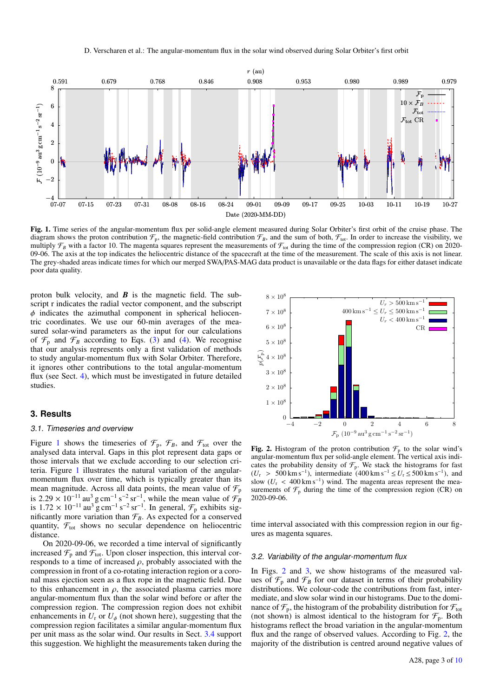

Fig. 1. Time series of the angular-momentum flux per solid-angle element measured during Solar Orbiter's first orbit of the cruise phase. The diagram shows the proton contribution  $\mathcal{F}_p$ , the magnetic-field contribution  $\mathcal{F}_B$ , and the sum of both,  $\mathcal{F}_{tot}$ . In order to increase the visibility, we multiply  $\mathcal{F}_B$  with a factor 10. The magenta squares represent the measurements of  $\mathcal{F}_{tot}$  during the time of the compression region (CR) on 2020-09-06. The axis at the top indicates the heliocentric distance of the spacecraft at the time of the measurement. The scale of this axis is not linear. The grey-shaded areas indicate times for which our merged SWA/PAS-MAG data product is unavailable or the data flags for either dataset indicate poor data quality.

proton bulk velocity, and *B* is the magnetic field. The subscript r indicates the radial vector component, and the subscript  $\phi$  indicates the azimuthal component in spherical heliocentric coordinates. We use our 60-min averages of the measured solar-wind parameters as the input for our calculations of  $\mathcal{F}_p$  and  $\mathcal{F}_B$  according to Eqs. (3) and (4). We recognise that our analysis represents only a first validation of methods to study angular-momentum flux with Solar Orbiter. Therefore, it ignores other contributions to the total angular-momentum flux (see Sect. 4), which must be investigated in future detailed studies.

#### **3. Results**

#### 3.1. Timeseries and overview

Figure 1 shows the timeseries of  $\mathcal{F}_p$ ,  $\mathcal{F}_B$ , and  $\mathcal{F}_{tot}$  over the analysed data interval. Gaps in this plot represent data gaps or those intervals that we exclude according to our selection criteria. Figure 1 illustrates the natural variation of the angularmomentum flux over time, which is typically greater than its mean magnitude. Across all data points, the mean value of  $\mathcal{F}_p$ is 2.29 × 10<sup>-11</sup> au<sup>3</sup> g cm<sup>-1</sup> s<sup>-2</sup> sr<sup>-1</sup>, while the mean value of  $\mathcal{F}_B$ <br>is 1.72 × 10<sup>-11</sup> au<sup>3</sup> g cm<sup>-1</sup> s<sup>-2</sup> sr<sup>-1</sup>. In general  $\mathcal{F}_B$  exhibits sigis 1.72 × 10<sup>-11</sup> au<sup>3</sup> g cm<sup>-1</sup> s<sup>-2</sup> sr<sup>-1</sup>. In general,  $\mathcal{F}_p$  exhibits sig-<br>nificantly more variation than  $\mathcal{F}_p$ . As expected for a conserved nificantly more variation than  $\mathcal{F}_B$ . As expected for a conserved quantity,  $F_{\text{tot}}$  shows no secular dependence on heliocentric distance.

On 2020-09-06, we recorded a time interval of significantly increased  $\mathcal{F}_p$  and  $\mathcal{F}_{\text{tot}}$ . Upon closer inspection, this interval corresponds to a time of increased  $\rho$ , probably associated with the compression in front of a co-rotating interaction region or a coronal mass ejection seen as a flux rope in the magnetic field. Due to this enhancement in  $\rho$ , the associated plasma carries more angular-momentum flux than the solar wind before or after the compression region. The compression region does not exhibit enhancements in  $U_r$  or  $U_\phi$  (not shown here), suggesting that the compression region facilitates a similar angular-momentum flux per unit mass as the solar wind. Our results in Sect. 3.4 support this suggestion. We highlight the measurements taken during the



Fig. 2. Histogram of the proton contribution  $\mathcal{F}_p$  to the solar wind's angular-momentum flux per solid-angle element. The vertical axis indicates the probability density of  $\mathcal{F}_p$ . We stack the histograms for fast  $(U_r > 500 \text{ km s}^{-1})$ , intermediate (400 km s<sup>-1</sup>  $\le U_r \le 500 \text{ km s}^{-1}$ ), and slow  $(U_r < 400 \text{ km s}^{-1})$  wind. The magenta areas represent the measlow ( $U_r < 400 \text{ km s}^{-1}$ ) wind. The magenta areas represent the mea-<br>surements of  $\mathcal{F}_r$  during the time of the compression region (CR) on surements of  $\mathcal{F}_p$  during the time of the compression region (CR) on 2020-09-06.

time interval associated with this compression region in our figures as magenta squares.

#### 3.2. Variability of the angular-momentum flux

In Figs. 2 and 3, we show histograms of the measured values of  $\mathcal{F}_p$  and  $\mathcal{F}_B$  for our dataset in terms of their probability distributions. We colour-code the contributions from fast, intermediate, and slow solar wind in our histograms. Due to the dominance of  $\mathcal{F}_{p}$ , the histogram of the probability distribution for  $\mathcal{F}_{\text{tot}}$ (not shown) is almost identical to the histogram for  $\mathcal{F}_p$ . Both histograms reflect the broad variation in the angular-momentum flux and the range of observed values. According to Fig. 2, the majority of the distribution is centred around negative values of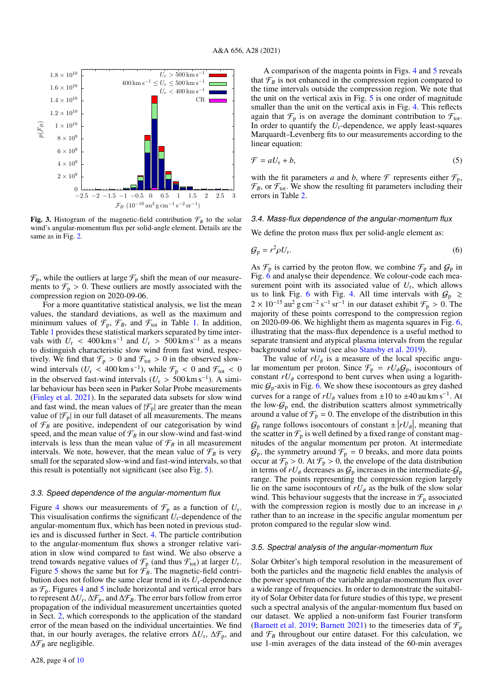

Fig. 3. Histogram of the magnetic-field contribution  $\mathcal{F}_B$  to the solar wind's angular-momentum flux per solid-angle element. Details are the same as in Fig. 2.

 $\mathcal{F}_p$ , while the outliers at large  $\mathcal{F}_p$  shift the mean of our measurements to  $\mathcal{F}_p > 0$ . These outliers are mostly associated with the compression region on 2020-09-06.

For a more quantitative statistical analysis, we list the mean values, the standard deviations, as well as the maximum and minimum values of  $\mathcal{F}_p$ ,  $\mathcal{F}_B$ , and  $\mathcal{F}_{\text{tot}}$  in Table 1. In addition, Table 1 provides these statistical markers separated by time intervals with  $U_r < 400 \text{ km s}^{-1}$  and  $U_r > 500 \text{ km s}^{-1}$  as a means to distinguish characteristic slow wind from fast wind respecto distinguish characteristic slow wind from fast wind, respectively. We find that  $\mathcal{F}_p > 0$  and  $\mathcal{F}_{\text{tot}} > 0$  in the observed slowwind intervals  $(U_r < 400 \text{ km s}^{-1})$ , while  $\mathcal{F}_p < 0$  and  $\mathcal{F}_{tot} < 0$ <br>in the observed fast-wind intervals  $(U > 500 \text{ km s}^{-1})$ . A simiin the observed fast-wind intervals  $(U_r > 500 \text{ km s}^{-1})$ . A simi-<br>lar behaviour has been seen in Parker Solar Probe measurements lar behaviour has been seen in Parker Solar Probe measurements (Finley et al. 2021). In the separated data subsets for slow wind and fast wind, the mean values of  $|\mathcal{F}_p|$  are greater than the mean value of  $|\mathcal{F}_p|$  in our full dataset of all measurements. The means of  $\mathcal{F}_B$  are positive, independent of our categorisation by wind speed, and the mean value of  $\mathcal{F}_B$  in our slow-wind and fast-wind intervals is less than the mean value of  $\mathcal{F}_B$  in all measurement intervals. We note, however, that the mean value of  $\mathcal{F}_B$  is very small for the separated slow-wind and fast-wind intervals, so that this result is potentially not significant (see also Fig. 5).

#### 3.3. Speed dependence of the angular-momentum flux

Figure 4 shows our measurements of  $\mathcal{F}_p$  as a function of  $U_r$ . This visualisation confirms the significant  $U_r$ -dependence of the angular-momentum flux, which has been noted in previous studies and is discussed further in Sect. 4. The particle contribution to the angular-momentum flux shows a stronger relative variation in slow wind compared to fast wind. We also observe a trend towards negative values of  $\mathcal{F}_{p}$  (and thus  $\mathcal{F}_{tot}$ ) at larger  $U_{r}$ . Figure 5 shows the same but for  $\mathcal{F}_B$ . The magnetic-field contribution does not follow the same clear trend in its *U*r-dependence as  $\mathcal{F}_p$ . Figures 4 and 5 include horizontal and vertical error bars to represent  $\Delta U_{\rm r}$ ,  $\Delta \mathcal{F}_{\rm p}$ , and  $\Delta \mathcal{F}_{\rm \mathcal{B}}$ . The error bars follow from error propagation of the individual measurement uncertainties quoted in Sect. 2, which corresponds to the application of the standard error of the mean based on the individual uncertainties. We find that, in our hourly averages, the relative errors  $\Delta U_r$ ,  $\Delta \mathcal{F}_p$ , and ∆F*<sup>B</sup>* are negligible.

A comparison of the magenta points in Figs. 4 and 5 reveals that  $\mathcal{F}_B$  is not enhanced in the compression region compared to the time intervals outside the compression region. We note that the unit on the vertical axis in Fig. 5 is one order of magnitude smaller than the unit on the vertical axis in Fig. 4. This reflects again that  $\mathcal{F}_p$  is on average the dominant contribution to  $\mathcal{F}_{\text{tot}}$ . In order to quantify the  $U_r$ -dependence, we apply least-squares Marquardt–Levenberg fits to our measurements according to the linear equation:

$$
\mathcal{F} = aU_{\rm r} + b,\tag{5}
$$

with the fit parameters *a* and *b*, where  $\mathcal{F}$  represents either  $\mathcal{F}_p$ ,  $\mathcal{F}_B$ , or  $\mathcal{F}_{\text{tot}}$ . We show the resulting fit parameters including their errors in Table 2.

#### 3.4. Mass-flux dependence of the angular-momentum flux

We define the proton mass flux per solid-angle element as:

$$
\mathcal{G}_{\mathrm{p}} = r^2 \rho U_{\mathrm{r}}.\tag{6}
$$

As  $\mathcal{F}_p$  is carried by the proton flow, we combine  $\mathcal{F}_p$  and  $\mathcal{G}_p$  in Fig. 6 and analyse their dependence. We colour-code each measurement point with its associated value of  $U_r$ , which allows us to link Fig. 6 with Fig. 4. All time intervals with  $G_p \ge$  $2 \times 10^{-15}$  au<sup>2</sup> g cm<sup>-2</sup> s<sup>-1</sup> sr<sup>-1</sup> in our dataset exhibit  $\mathcal{F}_p > 0$ . The majority of these points correspond to the compression region majority of these points correspond to the compression region on 2020-09-06. We highlight them as magenta squares in Fig. 6, illustrating that the mass-flux dependence is a useful method to separate transient and atypical plasma intervals from the regular background solar wind (see also Stansby et al. 2019).

The value of  $rU_{\phi}$  is a measure of the local specific angular momentum per proton. Since  $\mathcal{F}_p = rU_{\phi} \mathcal{G}_p$ , isocontours of constant  $rU_{\phi}$  correspond to bent curves when using a logarithmic  $G_p$ -axis in Fig. 6. We show these isocontours as grey dashed curves for a range of  $rU_{\phi}$  values from  $\pm 10$  to  $\pm 40$  au km s<sup>-1</sup>. At the low  $G$  and the distribution scatters almost symmetrically the low- $G_p$  end, the distribution scatters almost symmetrically around a value of  $\mathcal{F}_p = 0$ . The envelope of the distribution in this  $G_p$  range follows isocontours of constant  $\pm |rU_{\phi}|$ , meaning that the scatter in  $\mathcal{F}$  is well defined by a fixed range of constant magnetic the scatter in  $\mathcal{F}_p$  is well defined by a fixed range of constant magnitudes of the angular momentum per proton. At intermediate  $G_p$ , the symmetry around  $\mathcal{F}_p = 0$  breaks, and more data points occur at  $\mathcal{F}_p > 0$ . At  $\mathcal{F}_p > 0$ , the envelope of the data distribution in terms of  $rU_{\phi}$  decreases as  $\mathcal{G}_{p}$  increases in the intermediate- $\mathcal{G}_{p}$ range. The points representing the compression region largely lie on the same isocontours of  $rU_{\phi}$  as the bulk of the slow solar wind. This behaviour suggests that the increase in  $\mathcal{F}_p$  associated with the compression region is mostly due to an increase in  $\rho$ rather than to an increase in the specific angular momentum per proton compared to the regular slow wind.

#### 3.5. Spectral analysis of the angular-momentum flux

Solar Orbiter's high temporal resolution in the measurement of both the particles and the magnetic field enables the analysis of the power spectrum of the variable angular-momentum flux over a wide range of frequencies. In order to demonstrate the suitability of Solar Orbiter data for future studies of this type, we present such a spectral analysis of the angular-momentum flux based on our dataset. We applied a non-uniform fast Fourier transform (Barnett et al. 2019; Barnett 2021) to the timeseries data of  $\mathcal{F}_p$ and  $\mathcal{F}_B$  throughout our entire dataset. For this calculation, we use 1-min averages of the data instead of the 60-min averages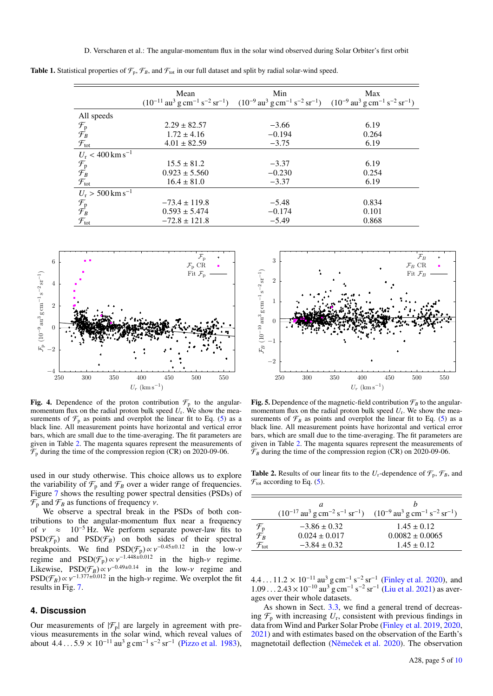|                                                                                           | Mean              | Min                                                                                                                                                                                                                            | Max   |
|-------------------------------------------------------------------------------------------|-------------------|--------------------------------------------------------------------------------------------------------------------------------------------------------------------------------------------------------------------------------|-------|
|                                                                                           |                   | $(10^{-11} \text{ au}^3 \text{ g cm}^{-1} \text{ s}^{-2} \text{ sr}^{-1})$ $(10^{-9} \text{ au}^3 \text{ g cm}^{-1} \text{ s}^{-2} \text{ sr}^{-1})$ $(10^{-9} \text{ au}^3 \text{ g cm}^{-1} \text{ s}^{-2} \text{ sr}^{-1})$ |       |
| All speeds                                                                                |                   |                                                                                                                                                                                                                                |       |
|                                                                                           | $2.29 \pm 82.57$  | $-3.66$                                                                                                                                                                                                                        | 6.19  |
|                                                                                           | $1.72 \pm 4.16$   | $-0.194$                                                                                                                                                                                                                       | 0.264 |
| $\begin{array}{c} \mathcal{F}_p \\ \mathcal{F}_B \\ \mathcal{F}_{\text{tot}} \end{array}$ | $4.01 \pm 82.59$  | $-3.75$                                                                                                                                                                                                                        | 6.19  |
| $U_r < 400$ km s <sup>-1</sup>                                                            |                   |                                                                                                                                                                                                                                |       |
|                                                                                           | $15.5 \pm 81.2$   | $-3.37$                                                                                                                                                                                                                        | 6.19  |
|                                                                                           | $0.923 \pm 5.560$ | $-0.230$                                                                                                                                                                                                                       | 0.254 |
| $\mathcal{F}_{p}$<br>$\mathcal{F}_{B}$<br>$\mathcal{F}_{tot}$                             | $16.4 \pm 81.0$   | $-3.37$                                                                                                                                                                                                                        | 6.19  |
| $U_r > 500$ km s <sup>-1</sup>                                                            |                   |                                                                                                                                                                                                                                |       |
|                                                                                           | $-73.4 \pm 119.8$ | $-5.48$                                                                                                                                                                                                                        | 0.834 |
| $\mathcal{F}_p$ $\mathcal{F}_B$                                                           | $0.593 \pm 5.474$ | $-0.174$                                                                                                                                                                                                                       | 0.101 |
| $\mathcal{F}_{\text{tot}}$                                                                | $-72.8 \pm 121.8$ | $-5.49$                                                                                                                                                                                                                        | 0.868 |

Table 1. Statistical properties of  $\mathcal{F}_p$ ,  $\mathcal{F}_B$ , and  $\mathcal{F}_{tot}$  in our full dataset and split by radial solar-wind speed.



Fig. 4. Dependence of the proton contribution  $\mathcal{F}_p$  to the angularmomentum flux on the radial proton bulk speed *U*<sup>r</sup> . We show the measurements of  $\mathcal{F}_p$  as points and overplot the linear fit to Eq. (5) as a black line. All measurement points have horizontal and vertical error bars, which are small due to the time-averaging. The fit parameters are given in Table 2. The magenta squares represent the measurements of  $\mathcal{F}_p$  during the time of the compression region (CR) on 2020-09-06.

used in our study otherwise. This choice allows us to explore the variability of  $\mathcal{F}_p$  and  $\mathcal{F}_p$  over a wider range of frequencies. Figure 7 shows the resulting power spectral densities (PSDs) of  $\mathcal{F}_p$  and  $\mathcal{F}_B$  as functions of frequency *v*.

We observe a spectral break in the PSDs of both contributions to the angular-momentum flux near a frequency of  $v \approx 10^{-5}$  Hz. We perform separate power-law fits to  $PSD(\mathcal{F}_p)$  and  $PSD(\mathcal{F}_B)$  on both sides of their spectral breakpoints. We find  $PSD(\mathcal{F}_n) \propto v^{-0.45\pm0.12}$  in the low-*v* breakpoints. We find  $PSD(\mathcal{F}_p) \propto v^{-0.45 \pm 0.12}$  in the low-v<br>regime and  $PSD(\mathcal{F}) \propto v^{-0.448 \pm 0.012}$  in the high-v regime regime and  $PSD(\mathcal{F}_p) \propto v^{-1.448 \pm 0.012}$  in the high- $\nu$  regime.<br>Likewise  $PSD(\mathcal{F}_n) \propto v^{-0.49 \pm 0.14}$  in the low  $\nu$  regime and Likewise,  $PSD(\mathcal{F}_B) \propto v^{-0.49 \pm 0.14}$  in the low-*v* regime and  $PSD(\mathcal{F}_B) \propto v^{-1.377 \pm 0.012}$  in the high-*v* regime. We overplot the fit  $PSD(\mathcal{F}_B) \propto \gamma^{-1.377 \pm 0.012}$  in the high- $\nu$  regime. We overplot the fit results in Fig. 7 results in Fig. 7.

#### **4. Discussion**

Our measurements of  $|\mathcal{F}_p|$  are largely in agreement with previous measurements in the solar wind, which reveal values of about  $4.4...5.9 \times 10^{-11}$  au<sup>3</sup> g cm<sup>-1</sup> s<sup>-2</sup> sr<sup>-1</sup> (Pizzo et al. 1983),



Fig. 5. Dependence of the magnetic-field contribution  $\mathcal{F}_B$  to the angularmomentum flux on the radial proton bulk speed  $U_r$ . We show the measurements of  $\mathcal{F}_B$  as points and overplot the linear fit to Eq. (5) as a black line. All measurement points have horizontal and vertical error bars, which are small due to the time-averaging. The fit parameters are given in Table 2. The magenta squares represent the measurements of  $\mathcal{F}_B$  during the time of the compression region (CR) on 2020-09-06.

**Table 2.** Results of our linear fits to the  $U_r$ -dependence of  $\mathcal{F}_p$ ,  $\mathcal{F}_B$ , and  $\mathcal{F}_{\text{tot}}$  according to Eq. (5).

|                                                   | a                                                                                                                                                    |                     |
|---------------------------------------------------|------------------------------------------------------------------------------------------------------------------------------------------------------|---------------------|
|                                                   | $(10^{-17} \text{ au}^3 \text{ g cm}^{-2} \text{ s}^{-1} \text{ sr}^{-1})$ $(10^{-9} \text{ au}^3 \text{ g cm}^{-1} \text{ s}^{-2} \text{ sr}^{-1})$ |                     |
|                                                   | $-3.86 \pm 0.32$                                                                                                                                     | $1.45 + 0.12$       |
| $\frac{\mathcal{F}_{\rm p}}{\mathcal{F}_{\rm B}}$ | $0.024 \pm 0.017$                                                                                                                                    | $0.0082 \pm 0.0065$ |
| $\mathcal{F}_{\text{tot}}$                        | $-3.84 \pm 0.32$                                                                                                                                     | $1.45 + 0.12$       |
|                                                   |                                                                                                                                                      |                     |

 $4.4...11.2 \times 10^{-11}$  au<sup>3</sup> g cm<sup>-1</sup> s<sup>-2</sup> sr<sup>-1</sup> (Finley et al. 2020), and<br>1.09  $2.43 \times 10^{-10}$  au<sup>3</sup> g cm<sup>-1</sup> s<sup>-2</sup> sr<sup>-1</sup> (Liu et al. 2021) as aver- $1.09...2.43 \times 10^{-10}$  au<sup>3</sup> g cm<sup>-1</sup> s<sup>-2</sup> sr<sup>-1</sup> (Liu et al. 2021) as aver-<br>ages over their whole datasets ages over their whole datasets.

As shown in Sect. 3.3, we find a general trend of decreasing  $\mathcal{F}_p$  with increasing  $U_r$ , consistent with previous findings in data from Wind and Parker Solar Probe (Finley et al. 2019, 2020, 2021) and with estimates based on the observation of the Earth's magnetotail deflection (Němeček et al. 2020). The observation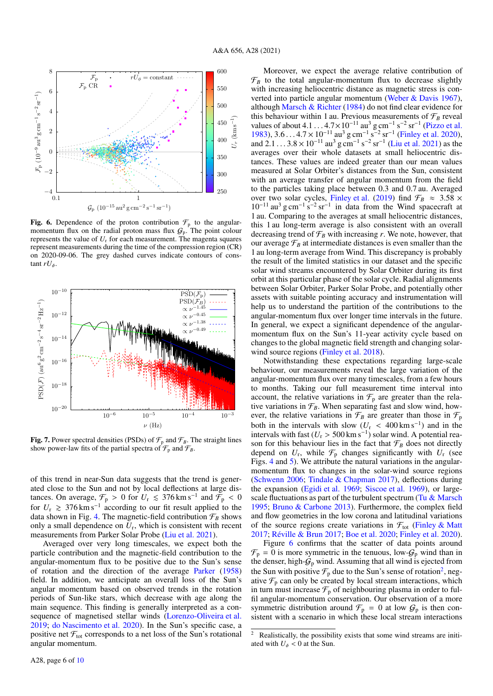

Fig. 6. Dependence of the proton contribution  $\mathcal{F}_p$  to the angularmomentum flux on the radial proton mass flux  $G_p$ . The point colour represents the value of  $U_r$  for each measurement. The magenta squares represent measurements during the time of the compression region (CR) on 2020-09-06. The grey dashed curves indicate contours of constant  $rU_\phi$ .



Fig. 7. Power spectral densities (PSDs) of  $\mathcal{F}_p$  and  $\mathcal{F}_p$ . The straight lines show power-law fits of the partial spectra of  $\mathcal{F}_p$  and  $\mathcal{F}_B$ .

of this trend in near-Sun data suggests that the trend is generated close to the Sun and not by local deflections at large distances. On average,  $\mathcal{F}_p > 0$  for  $U_r \le 376 \text{ km s}^{-1}$  and  $\tilde{\mathcal{F}}_p < 0$  for  $U_r \ge 376 \text{ km s}^{-1}$  according to our fit result applied to the data shown in Fig. 4. The magnetic-field contribution  $\mathcal{F}_B$  shows only a small dependence on  $U_r$ , which is consistent with recent measurements from Parker Solar Probe (Liu et al. 2021).

Averaged over very long timescales, we expect both the particle contribution and the magnetic-field contribution to the angular-momentum flux to be positive due to the Sun's sense of rotation and the direction of the average Parker (1958) field. In addition, we anticipate an overall loss of the Sun's angular momentum based on observed trends in the rotation periods of Sun-like stars, which decrease with age along the main sequence. This finding is generally interpreted as a consequence of magnetised stellar winds (Lorenzo-Oliveira et al. 2019; do Nascimento et al. 2020). In the Sun's specific case, a positive net  $\mathcal{F}_{\text{tot}}$  corresponds to a net loss of the Sun's rotational angular momentum.

Moreover, we expect the average relative contribution of  $\mathcal{F}_B$  to the total angular-momentum flux to decrease slightly with increasing heliocentric distance as magnetic stress is converted into particle angular momentum (Weber & Davis 1967), although Marsch & Richter (1984) do not find clear evidence for this behaviour within 1 au. Previous measurements of  $\mathcal{F}_B$  reveal values of about  $4.1...4.7 \times 10^{-11}$  au<sup>3</sup> g cm<sup>-1</sup> s<sup>-2</sup> sr<sup>-1</sup> (Pizzo et al.<br>1983) 3.6  $4.7 \times 10^{-11}$  au<sup>3</sup> g cm<sup>-1</sup> s<sup>-2</sup> sr<sup>-1</sup> (Finley et al. 2020) 1983),  $3.6...4.7 \times 10^{-11}$  au<sup>3</sup> g cm<sup>-1</sup> s<sup>-2</sup> sr<sup>-1</sup> (Finley et al. 2020),<br>and  $2.1 \times 3.8 \times 10^{-11}$  au<sup>3</sup> g cm<sup>-1</sup> s<sup>-2</sup> sr<sup>-1</sup> (Liu et al. 2021) as the and  $2.1 \dots 3.8 \times 10^{-11}$  au<sup>3</sup> g cm<sup>-1</sup> s<sup>-2</sup> sr<sup>-1</sup> (Liu et al. 2021) as the averages over their whole datasets at small heliocentric disaverages over their whole datasets at small heliocentric distances. These values are indeed greater than our mean values measured at Solar Orbiter's distances from the Sun, consistent with an average transfer of angular momentum from the field to the particles taking place between 0.3 and 0.7 au. Averaged over two solar cycles, Finley et al. (2019) find  $\mathcal{F}_B \approx 3.58 \times 10^{-11}$  au<sup>3</sup> g cm<sup>-1</sup> s<sup>-2</sup> sr<sup>-1</sup> in data from the Wind spacecraft at 1 au. Comparing to the averages at small heliocentric distances, this 1 au long-term average is also consistent with an overall decreasing trend of  $\mathcal{F}_B$  with increasing *r*. We note, however, that our average  $\mathcal{F}_B$  at intermediate distances is even smaller than the 1 au long-term average from Wind. This discrepancy is probably the result of the limited statistics in our dataset and the specific solar wind streams encountered by Solar Orbiter during its first orbit at this particular phase of the solar cycle. Radial alignments between Solar Orbiter, Parker Solar Probe, and potentially other assets with suitable pointing accuracy and instrumentation will help us to understand the partition of the contributions to the angular-momentum flux over longer time intervals in the future. In general, we expect a significant dependence of the angularmomentum flux on the Sun's 11-year activity cycle based on changes to the global magnetic field strength and changing solarwind source regions (Finley et al. 2018).

Notwithstanding these expectations regarding large-scale behaviour, our measurements reveal the large variation of the angular-momentum flux over many timescales, from a few hours to months. Taking our full measurement time interval into account, the relative variations in  $\mathcal{F}_p$  are greater than the relative variations in  $\mathcal{F}_B$ . When separating fast and slow wind, however, the relative variations in  $\mathcal{F}_B$  are greater than those in  $\mathcal{F}_p$ both in the intervals with slow  $(U_r < 400 \text{ km s}^{-1})$  and in the intervals with fast  $(U_r > 500 \text{ km s}^{-1})$  solar wind. A potential reaintervals with fast  $(U_r > 500 \text{ km s}^{-1})$  solar wind. A potential reason for this behaviour lies in the fact that  $\mathcal{F}_r$  does not directly son for this behaviour lies in the fact that  $\mathcal{F}_B$  does not directly depend on  $U_r$ , while  $\mathcal{F}_p$  changes significantly with  $U_r$  (see Figs. 4 and 5). We attribute the natural variations in the angularmomentum flux to changes in the solar-wind source regions (Schwenn 2006; Tindale & Chapman 2017), deflections during the expansion (Egidi et al. 1969; Siscoe et al. 1969), or largescale fluctuations as part of the turbulent spectrum (Tu  $\&$  Marsch 1995; Bruno & Carbone 2013). Furthermore, the complex field and flow geometries in the low corona and latitudinal variations of the source regions create variations in  $\mathcal{F}_{tot}$  (Finley & Matt 2017; Réville & Brun 2017; Boe et al. 2020; Finley et al. 2020).

Figure 6 confirms that the scatter of data points around  $\mathcal{F}_p = 0$  is more symmetric in the tenuous, low- $\mathcal{G}_p$  wind than in the denser, high- $G_p$  wind. Assuming that all wind is ejected from the Sun with positive  $\mathcal{F}_p$  due to the Sun's sense of rotation<sup>2</sup>, negative  $\mathcal{F}_p$  can only be created by local stream interactions, which in turn must increase  $\mathcal{F}_p$  of neighbouring plasma in order to fulfil angular-momentum conservation. Our observation of a more symmetric distribution around  $\mathcal{F}_p = 0$  at low  $\mathcal{G}_p$  is then consistent with a scenario in which these local stream interactions

Realistically, the possibility exists that some wind streams are initiated with  $U_{\phi}$  < 0 at the Sun.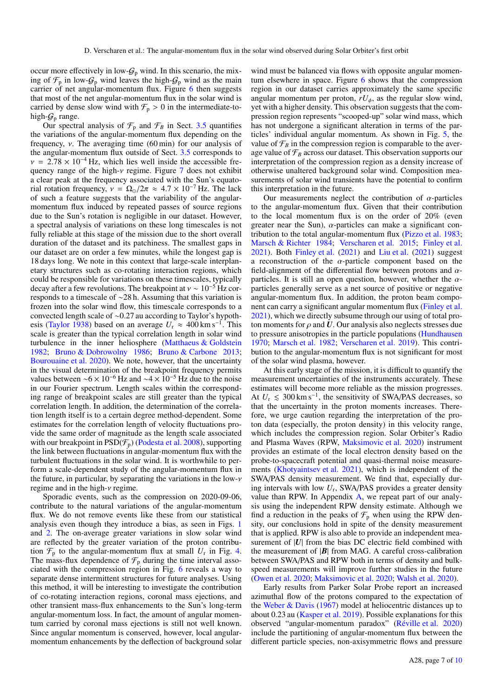occur more effectively in low- $G_p$  wind. In this scenario, the mixing of  $\mathcal{F}_p$  in low- $\mathcal{G}_p$  wind leaves the high- $\mathcal{G}_p$  wind as the main carrier of net angular-momentum flux. Figure 6 then suggests that most of the net angular-momentum flux in the solar wind is carried by dense slow wind with  $\mathcal{F}_p > 0$  in the intermediate-tohigh- $G_p$  range.

Our spectral analysis of  $\mathcal{F}_p$  and  $\mathcal{F}_B$  in Sect. 3.5 quantifies the variations of the angular-momentum flux depending on the frequency,  $\nu$ . The averaging time (60 min) for our analysis of the angular-momentum flux outside of Sect. 3.5 corresponds to  $v = 2.78 \times 10^{-4}$  Hz, which lies well inside the accessible frequency range of the high- $\nu$  regime. Figure 7 does not exhibit a clear peak at the frequency associated with the Sun's equatorial rotation frequency,  $v = \Omega_{\odot}/2\pi \approx 4.7 \times 10^{-7}$  Hz. The lack of such a feature suggests that the variability of the angularmomentum flux induced by repeated passes of source regions due to the Sun's rotation is negligible in our dataset. However, a spectral analysis of variations on these long timescales is not fully reliable at this stage of the mission due to the short overall duration of the dataset and its patchiness. The smallest gaps in our dataset are on order a few minutes, while the longest gap is 18 days long. We note in this context that large-scale interplanetary structures such as co-rotating interaction regions, which could be responsible for variations on these timescales, typically decay after a few revolutions. The breakpoint at  $v \sim 10^{-5}$  Hz corresponds to a timescale of ∼28 h. Assuming that this variation is frozen into the solar wind flow, this timescale corresponds to a convected length scale of <sup>∼</sup>0.27 au according to Taylor's hypothesis (Taylor 1938) based on an average  $U_{\rm r} \approx 400 \,\rm km\,s^{-1}$ . This scale is greater than the typical correlation length in solar wind turbulence in the inner heliosphere (Matthaeus & Goldstein 1982; Bruno & Dobrowolny 1986; Bruno & Carbone 2013; Bourouaine et al. 2020). We note, however, that the uncertainty in the visual determination of the breakpoint frequency permits values between ~6 × 10<sup>-6</sup> Hz and ~4 × 10<sup>-5</sup> Hz due to the noise in our Fourier spectrum. Length scales within the corresponding range of breakpoint scales are still greater than the typical correlation length. In addition, the determination of the correlation length itself is to a certain degree method-dependent. Some estimates for the correlation length of velocity fluctuations provide the same order of magnitude as the length scale associated with our breakpoint in  $PSD(\mathcal{F}_p)$  (Podesta et al. 2008), supporting the link between fluctuations in angular-momentum flux with the turbulent fluctuations in the solar wind. It is worthwhile to perform a scale-dependent study of the angular-momentum flux in the future, in particular, by separating the variations in the low- $\nu$ regime and in the high-ν regime.

Sporadic events, such as the compression on 2020-09-06, contribute to the natural variations of the angular-momentum flux. We do not remove events like these from our statistical analysis even though they introduce a bias, as seen in Figs. 1 and 2. The on-average greater variations in slow solar wind are reflected by the greater variation of the proton contribution  $\mathcal{F}_p$  to the angular-momentum flux at small  $U_r$  in Fig. 4. The mass-flux dependence of  $\mathcal{F}_p$  during the time interval associated with the compression region in Fig. 6 reveals a way to separate dense intermittent structures for future analyses. Using this method, it will be interesting to investigate the contribution of co-rotating interaction regions, coronal mass ejections, and other transient mass-flux enhancements to the Sun's long-term angular-momentum loss. In fact, the amount of angular momentum carried by coronal mass ejections is still not well known. Since angular momentum is conserved, however, local angularmomentum enhancements by the deflection of background solar

wind must be balanced via flows with opposite angular momentum elsewhere in space. Figure 6 shows that the compression region in our dataset carries approximately the same specific angular momentum per proton,  $rU_{\phi}$ , as the regular slow wind, yet with a higher density. This observation suggests that the compression region represents "scooped-up" solar wind mass, which has not undergone a significant alteration in terms of the particles' individual angular momentum. As shown in Fig. 5, the value of  $\mathcal{F}_B$  in the compression region is comparable to the average value of  $\mathcal{F}_B$  across our dataset. This observation supports our interpretation of the compression region as a density increase of otherwise unaltered background solar wind. Composition measurements of solar wind transients have the potential to confirm this interpretation in the future.

Our measurements neglect the contribution of  $\alpha$ -particles to the angular-momentum flux. Given that their contribution to the local momentum flux is on the order of 20% (even greater near the Sun),  $\alpha$ -particles can make a significant contribution to the total angular-momentum flux (Pizzo et al. 1983; Marsch & Richter 1984; Verscharen et al. 2015; Finley et al. 2021). Both Finley et al. (2021) and Liu et al. (2021) suggest a reconstruction of the  $\alpha$ -particle component based on the field-alignment of the differential flow between protons and  $\alpha$ particles. It is still an open question, however, whether the  $\alpha$ particles generally serve as a net source of positive or negative angular-momentum flux. In addition, the proton beam component can carry a significant angular momentum flux (Finley et al. 2021), which we directly subsume through our using of total proton moments for  $\rho$  and  $U$ . Our analysis also neglects stresses due to pressure anisotropies in the particle populations (Hundhausen 1970; Marsch et al. 1982; Verscharen et al. 2019). This contribution to the angular-momentum flux is not significant for most of the solar wind plasma, however.

At this early stage of the mission, it is difficult to quantify the measurement uncertainties of the instruments accurately. These estimates will become more reliable as the mission progresses. At  $U_r \leq 300 \text{ km s}^{-1}$ , the sensitivity of SWA/PAS decreases, so that the uncertainty in the proton moments increases. Therefore, we urge caution regarding the interpretation of the proton data (especially, the proton density) in this velocity range, which includes the compression region. Solar Orbiter's Radio and Plasma Waves (RPW, Maksimovic et al. 2020) instrument provides an estimate of the local electron density based on the probe-to-spacecraft potential and quasi-thermal noise measurements (Khotyaintsev et al. 2021), which is independent of the SWA/PAS density measurement. We find that, especially during intervals with low *U*<sup>r</sup> , SWA/PAS provides a greater density value than RPW. In Appendix A, we repeat part of our analysis using the independent RPW density estimate. Although we find a reduction in the peaks of  $\mathcal{F}_p$  when using the RPW density, our conclusions hold in spite of the density measurement that is applied. RPW is also able to provide an independent measurement of  $|U|$  from the bias DC electric field combined with the measurement of |*B*| from MAG. A careful cross-calibration between SWA/PAS and RPW both in terms of density and bulkspeed measurements will improve further studies in the future (Owen et al. 2020; Maksimovic et al. 2020; Walsh et al. 2020).

Early results from Parker Solar Probe report an increased azimuthal flow of the protons compared to the expectation of the Weber & Davis (1967) model at heliocentric distances up to about 0.23 au (Kasper et al. 2019). Possible explanations for this observed "angular-momentum paradox" (Réville et al. 2020) include the partitioning of angular-momentum flux between the different particle species, non-axisymmetric flows and pressure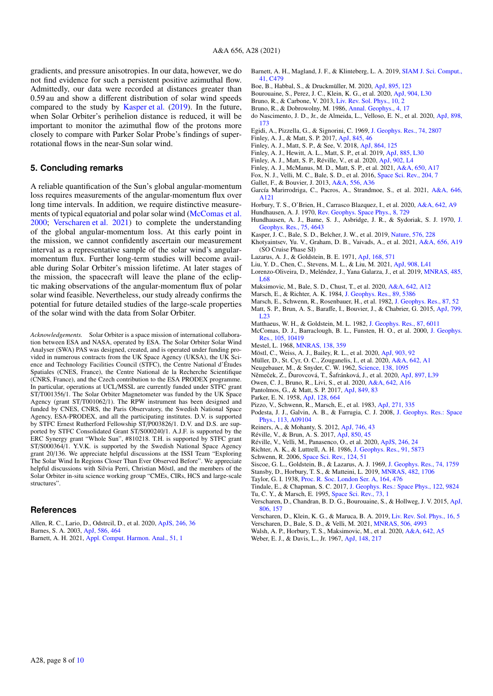gradients, and pressure anisotropies. In our data, however, we do not find evidence for such a persistent positive azimuthal flow. Admittedly, our data were recorded at distances greater than 0.59 au and show a different distribution of solar wind speeds compared to the study by Kasper et al. (2019). In the future, when Solar Orbiter's perihelion distance is reduced, it will be important to monitor the azimuthal flow of the protons more closely to compare with Parker Solar Probe's findings of superrotational flows in the near-Sun solar wind.

## **5. Concluding remarks**

A reliable quantification of the Sun's global angular-momentum loss requires measurements of the angular-momentum flux over long time intervals. In addition, we require distinctive measurements of typical equatorial and polar solar wind (McComas et al. 2000; Verscharen et al. 2021) to complete the understanding of the global angular-momentum loss. At this early point in the mission, we cannot confidently ascertain our measurement interval as a representative sample of the solar wind's angularmomentum flux. Further long-term studies will become available during Solar Orbiter's mission lifetime. At later stages of the mission, the spacecraft will leave the plane of the ecliptic making observations of the angular-momentum flux of polar solar wind feasible. Nevertheless, our study already confirms the potential for future detailed studies of the large-scale properties of the solar wind with the data from Solar Orbiter.

*Acknowledgements.* Solar Orbiter is a space mission of international collaboration between ESA and NASA, operated by ESA. The Solar Orbiter Solar Wind Analyser (SWA) PAS was designed, created, and is operated under funding provided in numerous contracts from the UK Space Agency (UKSA), the UK Science and Technology Facilities Council (STFC), the Centre National d'Études Spatiales (CNES, France), the Centre National de la Recherche Scientifique (CNRS, France), and the Czech contribution to the ESA PRODEX programme. In particular, operations at UCL/MSSL are currently funded under STFC grant ST/T001356/1. The Solar Orbiter Magnetometer was funded by the UK Space Agency (grant ST/T001062/1). The RPW instrument has been designed and funded by CNES, CNRS, the Paris Observatory, the Swedish National Space Agency, ESA-PRODEX, and all the participating institutes. D.V. is supported by STFC Ernest Rutherford Fellowship ST/P003826/1. D.V. and D.S. are supported by STFC Consolidated Grant ST/S000240/1. A.J.F. is supported by the ERC Synergy grant "Whole Sun", #810218. T.H. is supported by STFC grant ST/S000364/1. Y.V.K. is supported by the Swedish National Space Agency grant 20/136. We appreciate helpful discussions at the ISSI Team "Exploring The Solar Wind In Regions Closer Than Ever Observed Before". We appreciate helpful discussions with Silvia Perri, Christian Möstl, and the members of the Solar Orbiter in-situ science working group "CMEs, CIRs, HCS and large-scale structures".

#### **References**

Allen, R. C., Lario, D., Odstrcil, D., et al. 2020, [ApJS, 246, 36](http://linker.aanda.org/10.1051/0004-6361/202140956/1) Barnes, S. A. 2003, [ApJ, 586, 464](http://linker.aanda.org/10.1051/0004-6361/202140956/2) Barnett, A. H. 2021, [Appl. Comput. Harmon. Anal., 51, 1](http://linker.aanda.org/10.1051/0004-6361/202140956/3)

- Barnett, A. H., Magland, J. F., & Klinteberg, L. A. 2019, [SIAM J. Sci. Comput.,](http://linker.aanda.org/10.1051/0004-6361/202140956/4) [41, C479](http://linker.aanda.org/10.1051/0004-6361/202140956/4)
- Boe, B., Habbal, S., & Druckmüller, M. 2020, [ApJ, 895, 123](http://linker.aanda.org/10.1051/0004-6361/202140956/5)
- Bourouaine, S., Perez, J. C., Klein, K. G., et al. 2020, [ApJ, 904, L30](http://linker.aanda.org/10.1051/0004-6361/202140956/6)
- Bruno, R., & Carbone, V. 2013, [Liv. Rev. Sol. Phys., 10, 2](http://linker.aanda.org/10.1051/0004-6361/202140956/7)
- Bruno, R., & Dobrowolny, M. 1986, [Annal. Geophys., 4, 17](http://linker.aanda.org/10.1051/0004-6361/202140956/8)
- do Nascimento, J. D., Jr., de Almeida, L., Velloso, E. N., et al. 2020, [ApJ, 898,](http://linker.aanda.org/10.1051/0004-6361/202140956/9) [173](http://linker.aanda.org/10.1051/0004-6361/202140956/9)
- Egidi, A., Pizzella, G., & Signorini, C. 1969, [J. Geophys. Res., 74, 2807](http://linker.aanda.org/10.1051/0004-6361/202140956/10)
- Finley, A. J., & Matt, S. P. 2017, [ApJ, 845, 46](http://linker.aanda.org/10.1051/0004-6361/202140956/11)
- Finley, A. J., Matt, S. P., & See, V. 2018, [ApJ, 864, 125](http://linker.aanda.org/10.1051/0004-6361/202140956/12)
- Finley, A. J., Hewitt, A. L., Matt, S. P., et al. 2019, [ApJ, 885, L30](http://linker.aanda.org/10.1051/0004-6361/202140956/13)
- Finley, A. J., Matt, S. P., Réville, V., et al. 2020, [ApJ, 902, L4](http://linker.aanda.org/10.1051/0004-6361/202140956/14)
- Finley, A. J., McManus, M. D., Matt, S. P., et al. 2021, [A&A, 650, A17](http://linker.aanda.org/10.1051/0004-6361/202140956/15)
- Fox, N. J., Velli, M. C., Bale, S. D., et al. 2016, [Space Sci. Rev., 204, 7](http://linker.aanda.org/10.1051/0004-6361/202140956/16)
- Gallet, F., & Bouvier, J. 2013, [A&A, 556, A36](http://linker.aanda.org/10.1051/0004-6361/202140956/17)
- García Marirrodriga, C., Pacros, A., Strandmoe, S., et al. 2021, [A&A, 646,](http://linker.aanda.org/10.1051/0004-6361/202140956/18) [A121](http://linker.aanda.org/10.1051/0004-6361/202140956/18)
- Horbury, T. S., O'Brien, H., Carrasco Blazquez, I., et al. 2020, [A&A, 642, A9](http://linker.aanda.org/10.1051/0004-6361/202140956/19)
- Hundhausen, A. J. 1970, [Rev. Geophys. Space Phys., 8, 729](http://linker.aanda.org/10.1051/0004-6361/202140956/20)
- Hundhausen, A. J., Bame, S. J., Asbridge, J. R., & Sydoriak, S. J. 1970, [J.](http://linker.aanda.org/10.1051/0004-6361/202140956/21) [Geophys. Res., 75, 4643](http://linker.aanda.org/10.1051/0004-6361/202140956/21)
- Kasper, J. C., Bale, S. D., Belcher, J. W., et al. 2019, [Nature, 576, 228](http://linker.aanda.org/10.1051/0004-6361/202140956/22)
- Khotyaintsev, Yu. V., Graham, D. B., Vaivads, A., et al. 2021, [A&A, 656, A19](http://linker.aanda.org/10.1051/0004-6361/202140956/23) (SO Cruise Phase SI)
- Lazarus, A. J., & Goldstein, B. E. 1971, [ApJ, 168, 571](http://linker.aanda.org/10.1051/0004-6361/202140956/24)
- Liu, Y. D., Chen, C., Stevens, M. L., & Liu, M. 2021, [ApJ, 908, L41](http://linker.aanda.org/10.1051/0004-6361/202140956/25)
- Lorenzo-Oliveira, D., Meléndez, J., Yana Galarza, J., et al. 2019, *MNRAS*, 485, [L68](http://linker.aanda.org/10.1051/0004-6361/202140956/26)
- Maksimovic, M., Bale, S. D., Chust, T., et al. 2020, [A&A, 642, A12](http://linker.aanda.org/10.1051/0004-6361/202140956/27)
- Marsch, E., & Richter, A. K. 1984, [J. Geophys. Res., 89, 5386](http://linker.aanda.org/10.1051/0004-6361/202140956/28)
- Marsch, E., Schwenn, R., Rosenbauer, H., et al. 1982, [J. Geophys. Res., 87, 52](http://linker.aanda.org/10.1051/0004-6361/202140956/29)
- Matt, S. P., Brun, A. S., Baraffe, I., Bouvier, J., & Chabrier, G. 2015, [ApJ, 799,](http://linker.aanda.org/10.1051/0004-6361/202140956/30) [L23](http://linker.aanda.org/10.1051/0004-6361/202140956/30)
- Matthaeus, W. H., & Goldstein, M. L. 1982, [J. Geophys. Res., 87, 6011](http://linker.aanda.org/10.1051/0004-6361/202140956/31)
- McComas, D. J., Barraclough, B. L., Funsten, H. O., et al. 2000, [J. Geophys.](http://linker.aanda.org/10.1051/0004-6361/202140956/32) [Res., 105, 10419](http://linker.aanda.org/10.1051/0004-6361/202140956/32)
- Mestel, L. 1968, [MNRAS, 138, 359](http://linker.aanda.org/10.1051/0004-6361/202140956/33)
- Möstl, C., Weiss, A. J., Bailey, R. L., et al. 2020, [ApJ, 903, 92](http://linker.aanda.org/10.1051/0004-6361/202140956/34)
- Müller, D., St. Cyr, O. C., Zouganelis, I., et al. 2020, [A&A, 642, A1](http://linker.aanda.org/10.1051/0004-6361/202140956/35)
- Neugebauer, M., & Snyder, C. W. 1962, [Science, 138, 1095](http://linker.aanda.org/10.1051/0004-6361/202140956/36)
- Němeček, Z., Ďurovcová, T., Šafránková, J., et al. 2020, [ApJ, 897, L39](http://linker.aanda.org/10.1051/0004-6361/202140956/37)
- Owen, C. J., Bruno, R., Livi, S., et al. 2020, [A&A, 642, A16](http://linker.aanda.org/10.1051/0004-6361/202140956/38)
- Pantolmos, G., & Matt, S. P. 2017, [ApJ, 849, 83](http://linker.aanda.org/10.1051/0004-6361/202140956/39)
- Parker, E. N. 1958, [ApJ, 128, 664](http://linker.aanda.org/10.1051/0004-6361/202140956/40)
- Pizzo, V., Schwenn, R., Marsch, E., et al. 1983, [ApJ, 271, 335](http://linker.aanda.org/10.1051/0004-6361/202140956/41)
- Podesta, J. J., Galvin, A. B., & Farrugia, C. J. 2008, [J. Geophys. Res.: Space](http://linker.aanda.org/10.1051/0004-6361/202140956/42) [Phys., 113, A09104](http://linker.aanda.org/10.1051/0004-6361/202140956/42)
- Reiners, A., & Mohanty, S. 2012, [ApJ, 746, 43](http://linker.aanda.org/10.1051/0004-6361/202140956/43)
- Réville, V., & Brun, A. S. 2017, [ApJ, 850, 45](http://linker.aanda.org/10.1051/0004-6361/202140956/44)
- Réville, V., Velli, M., Panasenco, O., et al. 2020, [ApJS, 246, 24](http://linker.aanda.org/10.1051/0004-6361/202140956/45)
- Richter, A. K., & Luttrell, A. H. 1986, [J. Geophys. Res., 91, 5873](http://linker.aanda.org/10.1051/0004-6361/202140956/46)
- Schwenn, R. 2006, [Space Sci. Rev., 124, 51](http://linker.aanda.org/10.1051/0004-6361/202140956/47)
- Siscoe, G. L., Goldstein, B., & Lazarus, A. J. 1969, [J. Geophys. Res., 74, 1759](http://linker.aanda.org/10.1051/0004-6361/202140956/48)
- Stansby, D., Horbury, T. S., & Matteini, L. 2019, [MNRAS, 482, 1706](http://linker.aanda.org/10.1051/0004-6361/202140956/49)
- Taylor, G. I. 1938, [Proc. R. Soc. London Ser. A, 164, 476](http://linker.aanda.org/10.1051/0004-6361/202140956/50)
- Tindale, E., & Chapman, S. C. 2017, [J. Geophys. Res.: Space Phys., 122, 9824](http://linker.aanda.org/10.1051/0004-6361/202140956/51)
- Tu, C. Y., & Marsch, E. 1995, [Space Sci. Rev., 73, 1](http://linker.aanda.org/10.1051/0004-6361/202140956/52)
- Verscharen, D., Chandran, B. D. G., Bourouaine, S., & Hollweg, J. V. 2015, [ApJ,](http://linker.aanda.org/10.1051/0004-6361/202140956/53) [806, 157](http://linker.aanda.org/10.1051/0004-6361/202140956/53)
- Verscharen, D., Klein, K. G., & Maruca, B. A. 2019, [Liv. Rev. Sol. Phys., 16, 5](http://linker.aanda.org/10.1051/0004-6361/202140956/54)
- Verscharen, D., Bale, S. D., & Velli, M. 2021, [MNRAS, 506, 4993](http://linker.aanda.org/10.1051/0004-6361/202140956/55)
- Walsh, A. P., Horbury, T. S., Maksimovic, M., et al. 2020, [A&A, 642, A5](http://linker.aanda.org/10.1051/0004-6361/202140956/56)
- Weber, E. J., & Davis, L., Jr. 1967, [ApJ, 148, 217](http://linker.aanda.org/10.1051/0004-6361/202140956/57)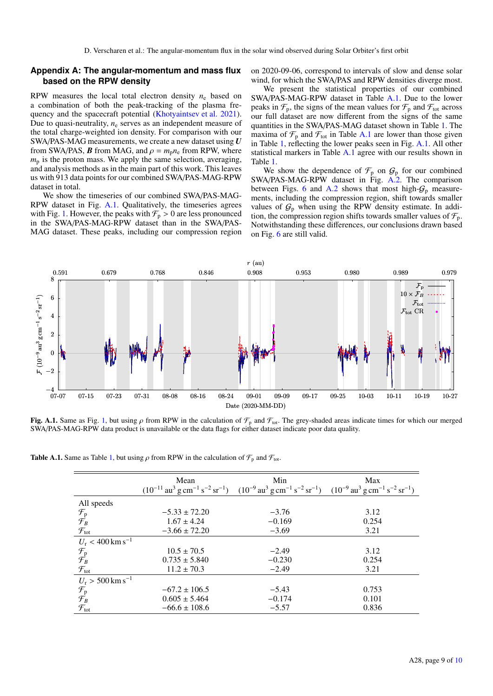### **Appendix A: The angular-momentum and mass flux based on the RPW density**

on 2020-09-06, correspond to intervals of slow and dense solar wind, for which the SWA/PAS and RPW densities diverge most.

RPW measures the local total electron density  $n_e$  based on a combination of both the peak-tracking of the plasma frequency and the spacecraft potential (Khotyaintsev et al. 2021). Due to quasi-neutrality,  $n_e$  serves as an independent measure of the total charge-weighted ion density. For comparison with our SWA/PAS-MAG measurements, we create a new dataset using *U* from SWA/PAS, *B* from MAG, and  $\rho = m_p n_e$  from RPW, where  $m<sub>p</sub>$  is the proton mass. We apply the same selection, averaging, and analysis methods as in the main part of this work. This leaves us with 913 data points for our combined SWA/PAS-MAG-RPW dataset in total.

We show the timeseries of our combined SWA/PAS-MAG-RPW dataset in Fig. A.1. Qualitatively, the timeseries agrees with Fig. 1. However, the peaks with  $\mathcal{F}_p > 0$  are less pronounced in the SWA/PAS-MAG-RPW dataset than in the SWA/PAS-MAG dataset. These peaks, including our compression region

We present the statistical properties of our combined SWA/PAS-MAG-RPW dataset in Table A.1. Due to the lower peaks in  $\mathcal{F}_p$ , the signs of the mean values for  $\mathcal{F}_p$  and  $\mathcal{F}_{tot}$  across our full dataset are now different from the signs of the same quantities in the SWA/PAS-MAG dataset shown in Table 1. The maxima of  $\mathcal{F}_{p}$  and  $\mathcal{F}_{tot}$  in Table A.1 are lower than those given in Table 1, reflecting the lower peaks seen in Fig. A.1. All other statistical markers in Table A.1 agree with our results shown in Table 1.

We show the dependence of  $\mathcal{F}_p$  on  $\mathcal{G}_p$  for our combined SWA/PAS-MAG-RPW dataset in Fig. A.2. The comparison between Figs. 6 and A.2 shows that most high- $G_p$  measurements, including the compression region, shift towards smaller values of  $G_p$  when using the RPW density estimate. In addition, the compression region shifts towards smaller values of  $\mathcal{F}_{p}$ . Notwithstanding these differences, our conclusions drawn based on Fig. 6 are still valid.



Fig. A.1. Same as Fig. 1, but using  $\rho$  from RPW in the calculation of  $\mathcal{F}_p$  and  $\mathcal{F}_{tot}$ . The grey-shaded areas indicate times for which our merged SWA/PAS-MAG-RPW data product is unavailable or the data flags for either dataset indicate poor data quality.

**Table A.1.** Same as Table 1, but using  $\rho$  from RPW in the calculation of  $\mathcal{F}_p$  and  $\mathcal{F}_{tot}$ .

|                                | Mean              | Min                                                                                                                                                                                                                            | Max   |
|--------------------------------|-------------------|--------------------------------------------------------------------------------------------------------------------------------------------------------------------------------------------------------------------------------|-------|
|                                |                   | $(10^{-11} \text{ au}^3 \text{ g cm}^{-1} \text{ s}^{-2} \text{ sr}^{-1})$ $(10^{-9} \text{ au}^3 \text{ g cm}^{-1} \text{ s}^{-2} \text{ sr}^{-1})$ $(10^{-9} \text{ au}^3 \text{ g cm}^{-1} \text{ s}^{-2} \text{ sr}^{-1})$ |       |
| All speeds                     |                   |                                                                                                                                                                                                                                |       |
|                                | $-5.33 \pm 72.20$ | $-3.76$                                                                                                                                                                                                                        | 3.12  |
| $\mathcal{F}_{P}$              | $1.67 \pm 4.24$   | $-0.169$                                                                                                                                                                                                                       | 0.254 |
| $\mathcal{F}_{\text{tot}}$     | $-3.66 \pm 72.20$ | $-3.69$                                                                                                                                                                                                                        | 3.21  |
| $U_r < 400$ km s <sup>-1</sup> |                   |                                                                                                                                                                                                                                |       |
|                                | $10.5 \pm 70.5$   | $-2.49$                                                                                                                                                                                                                        | 3.12  |
| $\mathcal{F}_{P}$              | $0.735 \pm 5.840$ | $-0.230$                                                                                                                                                                                                                       | 0.254 |
| $\mathcal{F}_{\text{tot}}$     | $11.2 \pm 70.3$   | $-2.49$                                                                                                                                                                                                                        | 3.21  |
| $U_r > 500$ km s <sup>-1</sup> |                   |                                                                                                                                                                                                                                |       |
|                                | $-67.2 \pm 106.5$ | $-5.43$                                                                                                                                                                                                                        | 0.753 |
| $\mathcal{F}_{P}$              | $0.605 \pm 5.464$ | $-0.174$                                                                                                                                                                                                                       | 0.101 |
| $\mathcal{F}_{\text{tot}}$     | $-66.6 \pm 108.6$ | $-5.57$                                                                                                                                                                                                                        | 0.836 |
|                                |                   |                                                                                                                                                                                                                                |       |